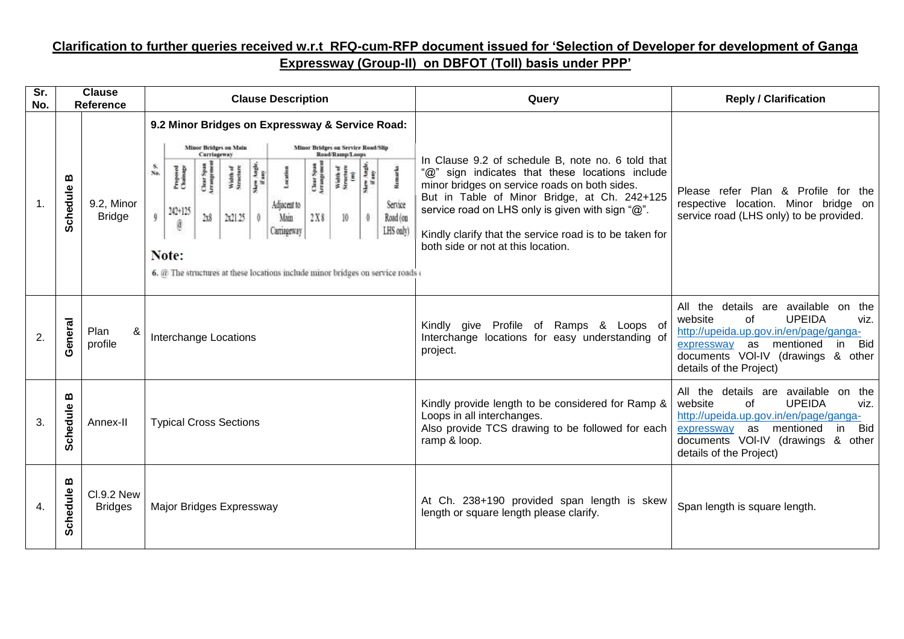## **Clarification to further queries received w.r.t RFQ-cum-RFP document issued for 'Selection of Developer for development of Ganga Expressway (Group-II) on DBFOT (Toll) basis under PPP'**

| $\overline{\text{Sr.}}$<br>No. | <b>Clause</b><br><b>Reference</b> |                                     | <b>Clause Description</b>                                                                                                                                                                                                                                                                                                                                                                                                                                                                                                                                                                                                             | Query                                                                                                                                                                                                                                                                                                                                                      | <b>Reply / Clarification</b>                                                                                                                                                                                                                   |
|--------------------------------|-----------------------------------|-------------------------------------|---------------------------------------------------------------------------------------------------------------------------------------------------------------------------------------------------------------------------------------------------------------------------------------------------------------------------------------------------------------------------------------------------------------------------------------------------------------------------------------------------------------------------------------------------------------------------------------------------------------------------------------|------------------------------------------------------------------------------------------------------------------------------------------------------------------------------------------------------------------------------------------------------------------------------------------------------------------------------------------------------------|------------------------------------------------------------------------------------------------------------------------------------------------------------------------------------------------------------------------------------------------|
| $\mathbf{1}$ .                 | ≃<br>Schedule                     | 9.2, Minor<br><b>Bridge</b>         | 9.2 Minor Bridges on Expressway & Service Road:<br><b>Minor Bridges on Main</b><br><b>Minor Bridges on Service Road/Slip</b><br>Carriageway<br>Read/Ramp/Loops<br>$\frac{8}{N_0}$<br>Skew Angle,<br>If any<br>Skew Angle<br>If any<br>Chear Span<br>Arrangemen<br>Char Span<br>Arrangemen<br>Width of<br>Structure<br>(m)<br>Proposed<br>Chainage<br>Width of<br>Structure<br>Remarks<br>Locatio<br>Service<br>Adjacent to<br>242+125<br>2x21.25<br>2x8<br>Main<br>2X8<br>10<br>Road (on<br>$\theta$<br>Ø<br>LHS only)<br>Carriageway<br>Note:<br>6. $@$ The structures at these locations include minor bridges on service roads $@$ | In Clause 9.2 of schedule B, note no. 6 told that<br>"@" sign indicates that these locations include<br>minor bridges on service roads on both sides.<br>But in Table of Minor Bridge, at Ch. 242+125<br>service road on LHS only is given with sign "@".<br>Kindly clarify that the service road is to be taken for<br>both side or not at this location. | Please refer Plan & Profile for the<br>respective location. Minor bridge on<br>service road (LHS only) to be provided.                                                                                                                         |
| 2.                             | General                           | Plan<br>&<br>profile                | Interchange Locations                                                                                                                                                                                                                                                                                                                                                                                                                                                                                                                                                                                                                 | Profile of Ramps & Loops of<br>Kindly give<br>Interchange locations for easy understanding of<br>project.                                                                                                                                                                                                                                                  | All the details are available on the<br><b>UPEIDA</b><br>website<br>οf<br>viz.<br>http://upeida.up.gov.in/en/page/ganga-<br>as<br>mentioned<br><b>Bid</b><br>expressway<br>in<br>documents VOI-IV (drawings & other<br>details of the Project) |
| 3.                             | മ<br><b>Schedule</b>              | Annex-II                            | <b>Typical Cross Sections</b>                                                                                                                                                                                                                                                                                                                                                                                                                                                                                                                                                                                                         | Kindly provide length to be considered for Ramp &<br>Loops in all interchanges.<br>Also provide TCS drawing to be followed for each<br>ramp & loop.                                                                                                                                                                                                        | All the details are available on the<br>website<br><b>UPEIDA</b><br>οf<br>viz.<br>http://upeida.up.gov.in/en/page/ganga-<br>Bid<br>as<br>mentioned<br>in.<br>expressway<br>documents VOI-IV (drawings<br>& other<br>details of the Project)    |
| 4.                             | ≃<br>Schedule                     | <b>CI.9.2 New</b><br><b>Bridges</b> | Major Bridges Expressway                                                                                                                                                                                                                                                                                                                                                                                                                                                                                                                                                                                                              | At Ch. 238+190 provided span length is skew<br>length or square length please clarify.                                                                                                                                                                                                                                                                     | Span length is square length.                                                                                                                                                                                                                  |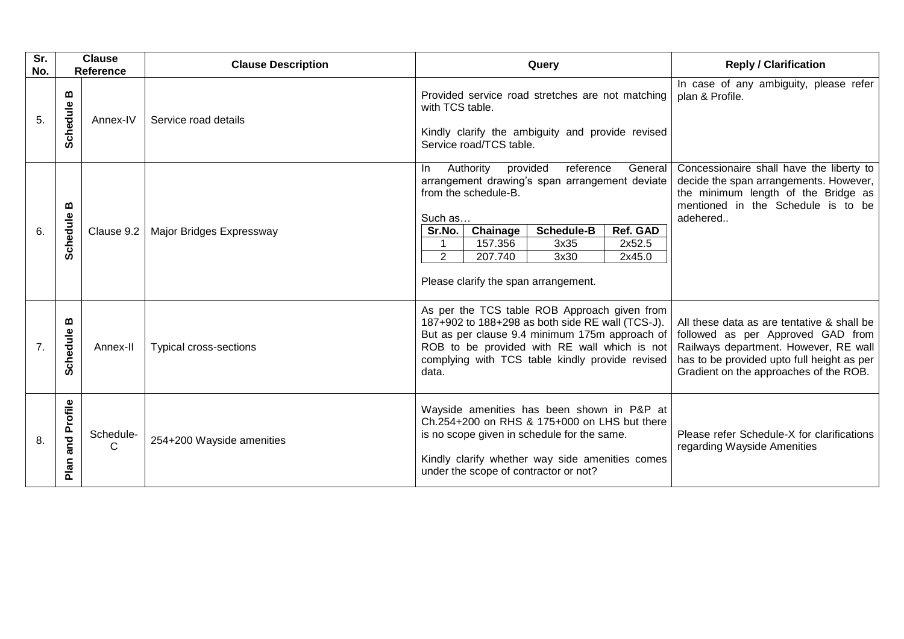| Sr.<br>No. | <b>Clause</b><br><b>Reference</b> |                            | <b>Clause Description</b> |                                                                                                                                                                                                                                                                |                                                                                 | Query                                                                                                                                                                                                                                 |                                                                                                                                                                                                                  | <b>Reply / Clarification</b>                                                                                                                                                |
|------------|-----------------------------------|----------------------------|---------------------------|----------------------------------------------------------------------------------------------------------------------------------------------------------------------------------------------------------------------------------------------------------------|---------------------------------------------------------------------------------|---------------------------------------------------------------------------------------------------------------------------------------------------------------------------------------------------------------------------------------|------------------------------------------------------------------------------------------------------------------------------------------------------------------------------------------------------------------|-----------------------------------------------------------------------------------------------------------------------------------------------------------------------------|
| 5.         | m<br>Schedule                     | Annex-IV                   | Service road details      | Provided service road stretches are not matching<br>with TCS table.<br>Kindly clarify the ambiguity and provide revised<br>Service road/TCS table.                                                                                                             |                                                                                 |                                                                                                                                                                                                                                       | In case of any ambiguity, please refer<br>plan & Profile.                                                                                                                                                        |                                                                                                                                                                             |
| 6.         | ≃<br>Schedule                     | Clause 9.2                 | Major Bridges Expressway  | In.<br>Such as<br>Sr.No.<br>$\overline{2}$                                                                                                                                                                                                                     | provided<br>Authority<br>from the schedule-B.<br>Chainage<br>157.356<br>207.740 | reference<br>arrangement drawing's span arrangement deviate<br><b>Schedule-B</b><br>3x35<br>3x30<br>Please clarify the span arrangement.                                                                                              | General<br>Ref. GAD<br>2x52.5<br>2x45.0                                                                                                                                                                          | Concessionaire shall have the liberty to<br>decide the span arrangements. However,<br>the minimum length of the Bridge as<br>mentioned in the Schedule is to be<br>adehered |
| 7.         | m<br>Schedule                     | Annex-II                   | Typical cross-sections    | As per the TCS table ROB Approach given from<br>187+902 to 188+298 as both side RE wall (TCS-J).<br>But as per clause 9.4 minimum 175m approach of<br>ROB to be provided with RE wall which is not<br>complying with TCS table kindly provide revised<br>data. |                                                                                 |                                                                                                                                                                                                                                       | All these data as are tentative & shall be<br>followed as per Approved GAD from<br>Railways department. However, RE wall<br>has to be provided upto full height as per<br>Gradient on the approaches of the ROB. |                                                                                                                                                                             |
| 8.         | Profile<br>and<br>Plan            | Schedule-<br>$\mathcal{C}$ | 254+200 Wayside amenities |                                                                                                                                                                                                                                                                |                                                                                 | Wayside amenities has been shown in P&P at<br>Ch.254+200 on RHS & 175+000 on LHS but there<br>is no scope given in schedule for the same.<br>Kindly clarify whether way side amenities comes<br>under the scope of contractor or not? |                                                                                                                                                                                                                  | Please refer Schedule-X for clarifications<br>regarding Wayside Amenities                                                                                                   |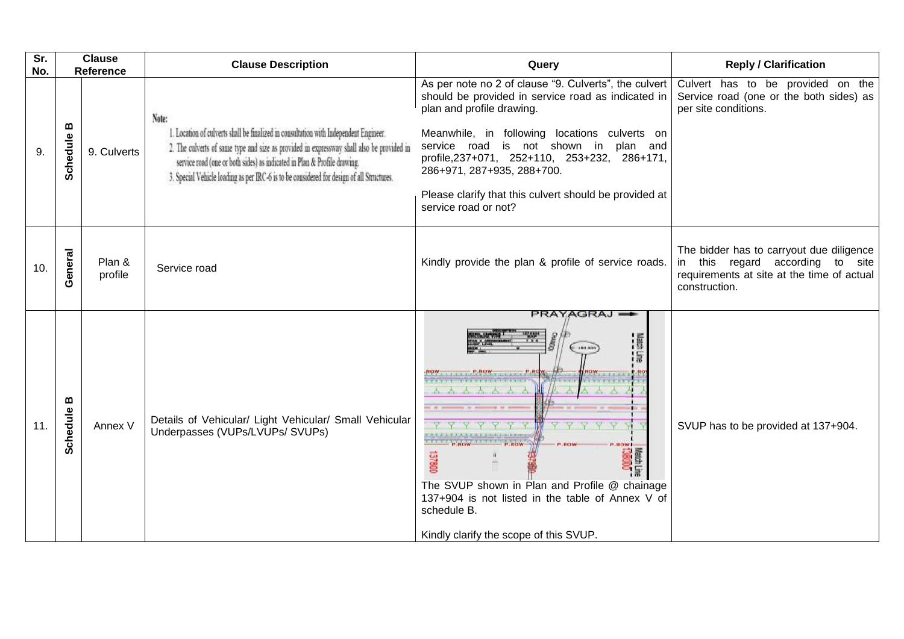| Sr.<br>No. | <b>Clause</b><br>Reference                    |                   | <b>Clause Description</b>                                                                                                                                                                                                                                                                                                                                            | Query                                                                                                                                                                                                                                                                                                                                                                                              | <b>Reply / Clarification</b>                                                                                                                          |
|------------|-----------------------------------------------|-------------------|----------------------------------------------------------------------------------------------------------------------------------------------------------------------------------------------------------------------------------------------------------------------------------------------------------------------------------------------------------------------|----------------------------------------------------------------------------------------------------------------------------------------------------------------------------------------------------------------------------------------------------------------------------------------------------------------------------------------------------------------------------------------------------|-------------------------------------------------------------------------------------------------------------------------------------------------------|
| 9.         | $\boldsymbol{\underline{\omega}}$<br>Schedule | 9. Culverts       | Note:<br>1. Location of culverts shall be finalized in consultation with Independent Engineer.<br>2. The culverts of same type and size as provided in expressway shall also be provided in<br>service road (one or both sides) as indicated in Plan & Profile drawing.<br>3. Special Vehicle loading as per IRC-6 is to be considered for design of all Structures. | As per note no 2 of clause "9. Culverts", the culvert<br>should be provided in service road as indicated in<br>plan and profile drawing.<br>Meanwhile, in following locations culverts on<br>service road is not shown in plan and<br>profile, 237+071, 252+110, 253+232, 286+171,<br>286+971, 287+935, 288+700.<br>Please clarify that this culvert should be provided at<br>service road or not? | Culvert has to be provided on the<br>Service road (one or the both sides) as<br>per site conditions.                                                  |
| 10.        | General                                       | Plan &<br>profile | Service road                                                                                                                                                                                                                                                                                                                                                         | Kindly provide the plan & profile of service roads.                                                                                                                                                                                                                                                                                                                                                | The bidder has to carryout due diligence<br>this regard according<br>to<br>site<br>in.<br>requirements at site at the time of actual<br>construction. |
| 11.        | $\pmb{\mathsf{m}}$<br>Schedule                | Annex V           | Details of Vehicular/ Light Vehicular/ Small Vehicular<br>Underpasses (VUPs/LVUPs/ SVUPs)                                                                                                                                                                                                                                                                            | PRAYAGRAJ<br>ROW  P.ROW  P.R<br>A A A A A A<br><b>LROWS</b><br>13800<br>The SVUP shown in Plan and Profile @ chainage<br>137+904 is not listed in the table of Annex V of<br>schedule B.<br>Kindly clarify the scope of this SVUP.                                                                                                                                                                 | SVUP has to be provided at 137+904.                                                                                                                   |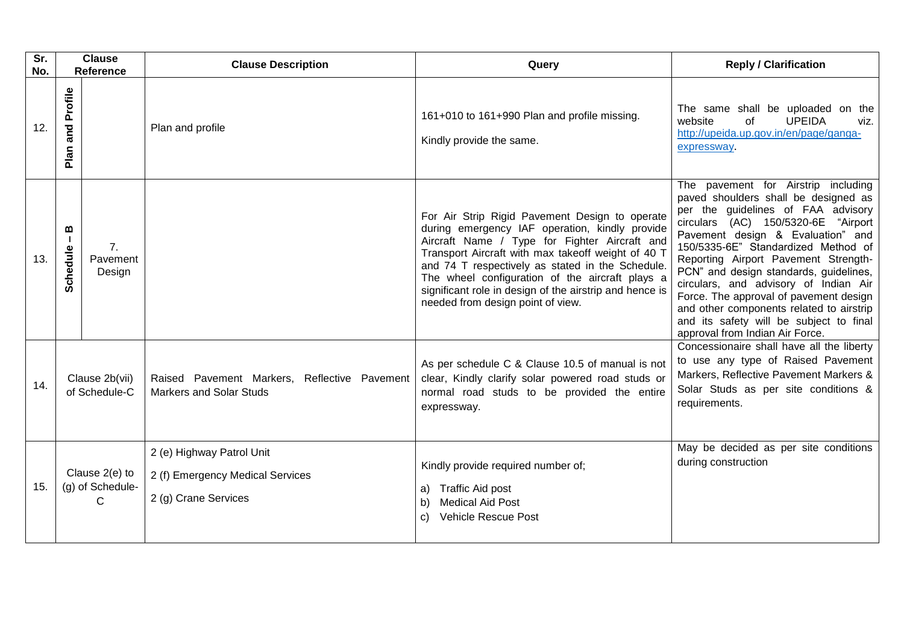| Sr.<br>No. | <b>Clause</b><br><b>Reference</b>        |                          | <b>Clause Description</b>                                                             | Query                                                                                                                                                                                                                                                                                                                                                                                                          | <b>Reply / Clarification</b>                                                                                                                                                                                                                                                                                                                                                                                                                                                                                                        |
|------------|------------------------------------------|--------------------------|---------------------------------------------------------------------------------------|----------------------------------------------------------------------------------------------------------------------------------------------------------------------------------------------------------------------------------------------------------------------------------------------------------------------------------------------------------------------------------------------------------------|-------------------------------------------------------------------------------------------------------------------------------------------------------------------------------------------------------------------------------------------------------------------------------------------------------------------------------------------------------------------------------------------------------------------------------------------------------------------------------------------------------------------------------------|
| 12.        | Profile<br>and<br>Plan                   |                          | Plan and profile                                                                      | 161+010 to 161+990 Plan and profile missing.<br>Kindly provide the same.                                                                                                                                                                                                                                                                                                                                       | The same shall be uploaded on the<br><b>UPEIDA</b><br>website<br>οf<br>viz.<br>http://upeida.up.gov.in/en/page/ganga-<br>expressway.                                                                                                                                                                                                                                                                                                                                                                                                |
| 13.        | ≃<br>H.<br>Schedule                      | 7.<br>Pavement<br>Design |                                                                                       | For Air Strip Rigid Pavement Design to operate<br>during emergency IAF operation, kindly provide<br>Aircraft Name / Type for Fighter Aircraft and<br>Transport Aircraft with max takeoff weight of 40 T<br>and 74 T respectively as stated in the Schedule.<br>The wheel configuration of the aircraft plays a<br>significant role in design of the airstrip and hence is<br>needed from design point of view. | The pavement for Airstrip including<br>paved shoulders shall be designed as<br>per the guidelines of FAA advisory<br>circulars (AC) 150/5320-6E "Airport<br>Pavement design & Evaluation" and<br>150/5335-6E" Standardized Method of<br>Reporting Airport Pavement Strength-<br>PCN" and design standards, guidelines,<br>circulars, and advisory of Indian Air<br>Force. The approval of pavement design<br>and other components related to airstrip<br>and its safety will be subject to final<br>approval from Indian Air Force. |
| 14.        | Clause 2b(vii)<br>of Schedule-C          |                          | Raised Pavement Markers, Reflective Pavement<br><b>Markers and Solar Studs</b>        | As per schedule C & Clause 10.5 of manual is not<br>clear, Kindly clarify solar powered road studs or<br>normal road studs to be provided the entire<br>expressway.                                                                                                                                                                                                                                            | Concessionaire shall have all the liberty<br>to use any type of Raised Pavement<br>Markers, Reflective Pavement Markers &<br>Solar Studs as per site conditions &<br>requirements.                                                                                                                                                                                                                                                                                                                                                  |
| 15.        | Clause 2(e) to<br>(g) of Schedule-<br>C. |                          | 2 (e) Highway Patrol Unit<br>2 (f) Emergency Medical Services<br>2 (g) Crane Services | Kindly provide required number of;<br><b>Traffic Aid post</b><br>a)<br><b>Medical Aid Post</b><br>b)<br><b>Vehicle Rescue Post</b><br>C)                                                                                                                                                                                                                                                                       | May be decided as per site conditions<br>during construction                                                                                                                                                                                                                                                                                                                                                                                                                                                                        |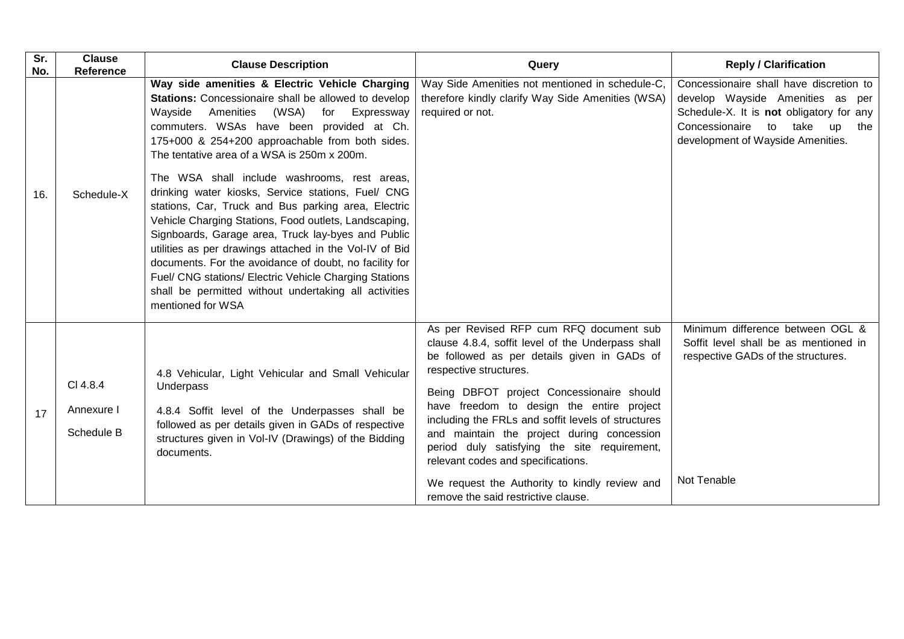| Sr.<br>No. | <b>Clause</b><br>Reference           | <b>Clause Description</b>                                                                                                                                                                                                                                                                                                                                                                                                                                                                                                                                                                                                                                                                                                                                                                                                                            | Query                                                                                                                                                                                                                                                                                                                                                                                                                                                                                                                                             | <b>Reply / Clarification</b>                                                                                                                                                                                     |
|------------|--------------------------------------|------------------------------------------------------------------------------------------------------------------------------------------------------------------------------------------------------------------------------------------------------------------------------------------------------------------------------------------------------------------------------------------------------------------------------------------------------------------------------------------------------------------------------------------------------------------------------------------------------------------------------------------------------------------------------------------------------------------------------------------------------------------------------------------------------------------------------------------------------|---------------------------------------------------------------------------------------------------------------------------------------------------------------------------------------------------------------------------------------------------------------------------------------------------------------------------------------------------------------------------------------------------------------------------------------------------------------------------------------------------------------------------------------------------|------------------------------------------------------------------------------------------------------------------------------------------------------------------------------------------------------------------|
| 16.        | Schedule-X                           | Way side amenities & Electric Vehicle Charging<br>Stations: Concessionaire shall be allowed to develop<br>Wayside<br>Amenities<br>(WSA)<br>Expressway<br>for<br>commuters. WSAs have been provided at Ch.<br>175+000 & 254+200 approachable from both sides.<br>The tentative area of a WSA is 250m x 200m.<br>The WSA shall include washrooms, rest areas,<br>drinking water kiosks, Service stations, Fuel/ CNG<br>stations, Car, Truck and Bus parking area, Electric<br>Vehicle Charging Stations, Food outlets, Landscaping,<br>Signboards, Garage area, Truck lay-byes and Public<br>utilities as per drawings attached in the Vol-IV of Bid<br>documents. For the avoidance of doubt, no facility for<br>Fuel/ CNG stations/ Electric Vehicle Charging Stations<br>shall be permitted without undertaking all activities<br>mentioned for WSA | Way Side Amenities not mentioned in schedule-C,<br>therefore kindly clarify Way Side Amenities (WSA)<br>required or not.                                                                                                                                                                                                                                                                                                                                                                                                                          | Concessionaire shall have discretion to<br>develop Wayside Amenities as per<br>Schedule-X. It is not obligatory for any<br>Concessionaire<br>to<br>take<br><b>up</b><br>the<br>development of Wayside Amenities. |
| 17         | CI 4.8.4<br>Annexure I<br>Schedule B | 4.8 Vehicular, Light Vehicular and Small Vehicular<br>Underpass<br>4.8.4 Soffit level of the Underpasses shall be<br>followed as per details given in GADs of respective<br>structures given in Vol-IV (Drawings) of the Bidding<br>documents.                                                                                                                                                                                                                                                                                                                                                                                                                                                                                                                                                                                                       | As per Revised RFP cum RFQ document sub<br>clause 4.8.4, soffit level of the Underpass shall<br>be followed as per details given in GADs of<br>respective structures.<br>Being DBFOT project Concessionaire should<br>have freedom to design the entire project<br>including the FRLs and soffit levels of structures<br>and maintain the project during concession<br>period duly satisfying the site requirement,<br>relevant codes and specifications.<br>We request the Authority to kindly review and<br>remove the said restrictive clause. | Minimum difference between OGL &<br>Soffit level shall be as mentioned in<br>respective GADs of the structures.<br>Not Tenable                                                                                   |